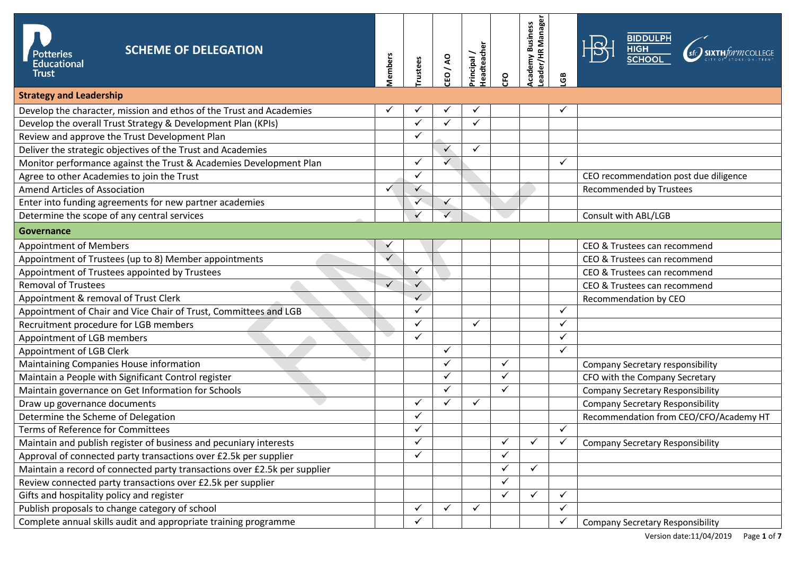| <b>SCHEME OF DELEGATION</b><br><b>Potteries</b><br><b>Educational</b><br>Trust | <b>Members</b> | rustees      | DA/A3        | <b>Teadteacher</b><br>Principal/ | 읹            | eader/HR Manager<br><b>Academy Business</b> | පි           | <b>BIDDULPH</b><br><b>HIGH<br/>SCHOOL</b> |  |
|--------------------------------------------------------------------------------|----------------|--------------|--------------|----------------------------------|--------------|---------------------------------------------|--------------|-------------------------------------------|--|
| <b>Strategy and Leadership</b>                                                 |                |              |              |                                  |              |                                             |              |                                           |  |
| Develop the character, mission and ethos of the Trust and Academies            |                |              |              |                                  |              |                                             |              |                                           |  |
| Develop the overall Trust Strategy & Development Plan (KPIs)                   |                | ✓            | ✓            | ✓                                |              |                                             |              |                                           |  |
| Review and approve the Trust Development Plan                                  |                | $\checkmark$ |              |                                  |              |                                             |              |                                           |  |
| Deliver the strategic objectives of the Trust and Academies                    |                |              | $\checkmark$ | $\checkmark$                     |              |                                             |              |                                           |  |
| Monitor performance against the Trust & Academies Development Plan             |                | ✓            | $\checkmark$ |                                  |              |                                             | $\checkmark$ |                                           |  |
| Agree to other Academies to join the Trust                                     |                | ✓            |              |                                  |              |                                             |              | CEO recommendation post due diligence     |  |
| Amend Articles of Association                                                  | $\checkmark$   | $\checkmark$ |              |                                  |              |                                             |              | Recommended by Trustees                   |  |
| Enter into funding agreements for new partner academies                        |                | $\checkmark$ | $\checkmark$ |                                  |              |                                             |              |                                           |  |
| Determine the scope of any central services                                    |                |              | $\checkmark$ |                                  |              |                                             |              | Consult with ABL/LGB                      |  |
| Governance                                                                     |                |              |              |                                  |              |                                             |              |                                           |  |
| <b>Appointment of Members</b>                                                  |                |              |              |                                  |              |                                             |              | CEO & Trustees can recommend              |  |
| Appointment of Trustees (up to 8) Member appointments                          | $\checkmark$   |              |              |                                  |              |                                             |              | CEO & Trustees can recommend              |  |
| Appointment of Trustees appointed by Trustees                                  |                | $\checkmark$ |              |                                  |              |                                             |              | CEO & Trustees can recommend              |  |
| <b>Removal of Trustees</b>                                                     | $\checkmark$   | $\checkmark$ |              |                                  |              |                                             |              | CEO & Trustees can recommend              |  |
| Appointment & removal of Trust Clerk                                           |                | $\checkmark$ |              |                                  |              |                                             |              | Recommendation by CEO                     |  |
| Appointment of Chair and Vice Chair of Trust, Committees and LGB               |                | $\checkmark$ |              |                                  |              |                                             | $\checkmark$ |                                           |  |
| Recruitment procedure for LGB members                                          |                | ✓            |              | $\checkmark$                     |              |                                             | $\checkmark$ |                                           |  |
| Appointment of LGB members                                                     |                | ✓            |              |                                  |              |                                             | ✓            |                                           |  |
| Appointment of LGB Clerk                                                       |                |              | $\checkmark$ |                                  |              |                                             | $\checkmark$ |                                           |  |
| Maintaining Companies House information                                        |                |              | $\checkmark$ |                                  | $\checkmark$ |                                             |              | Company Secretary responsibility          |  |
| Maintain a People with Significant Control register                            |                |              | $\checkmark$ |                                  |              |                                             |              | CFO with the Company Secretary            |  |
| Maintain governance on Get Information for Schools                             |                |              | ✓            |                                  | ✓            |                                             |              | <b>Company Secretary Responsibility</b>   |  |
| Draw up governance documents                                                   |                | ✓            | $\checkmark$ | $\checkmark$                     |              |                                             |              | <b>Company Secretary Responsibility</b>   |  |
| Determine the Scheme of Delegation                                             |                | ✓            |              |                                  |              |                                             |              | Recommendation from CEO/CFO/Academy HT    |  |
| Terms of Reference for Committees                                              |                | ✓            |              |                                  |              |                                             | $\checkmark$ |                                           |  |
| Maintain and publish register of business and pecuniary interests              |                | ✓            |              |                                  | ✓            | $\checkmark$                                | $\checkmark$ | <b>Company Secretary Responsibility</b>   |  |
| Approval of connected party transactions over £2.5k per supplier               |                | ✓            |              |                                  | ✓            |                                             |              |                                           |  |
| Maintain a record of connected party transactions over £2.5k per supplier      |                |              |              |                                  | ✓            | $\checkmark$                                |              |                                           |  |
| Review connected party transactions over £2.5k per supplier                    |                |              |              |                                  | $\checkmark$ |                                             |              |                                           |  |
| Gifts and hospitality policy and register                                      |                |              |              |                                  | $\checkmark$ | $\checkmark$                                | $\checkmark$ |                                           |  |
| Publish proposals to change category of school                                 |                | ✓            | $\checkmark$ | $\checkmark$                     |              |                                             | $\checkmark$ |                                           |  |
| Complete annual skills audit and appropriate training programme                |                | ✓            |              |                                  |              |                                             | ✓            | <b>Company Secretary Responsibility</b>   |  |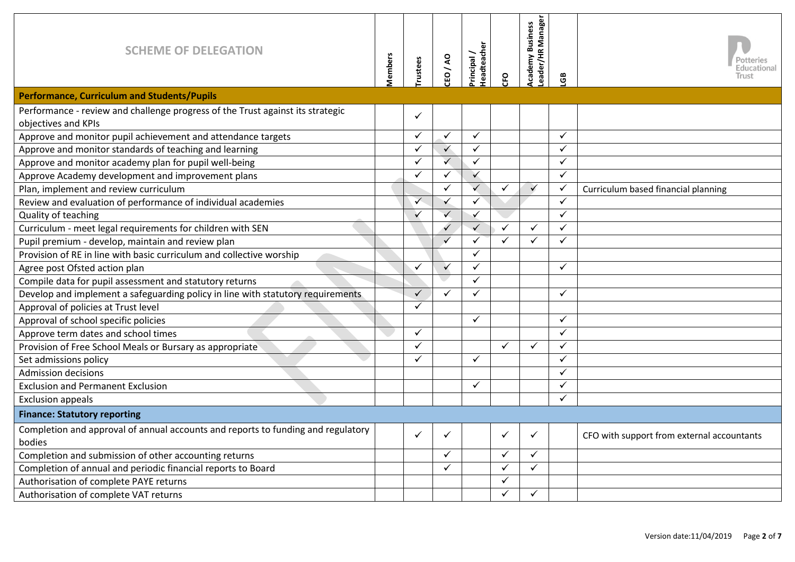| <b>SCHEME OF DELEGATION</b>                                                      | <b>Members</b> | rustees      | DV/O3                   | <b>Teadteacher</b><br>Principal | œ            | eader/HR Manager<br><b>Academy Business</b> | පි           | Potteries<br>ducationa:<br>Trust           |
|----------------------------------------------------------------------------------|----------------|--------------|-------------------------|---------------------------------|--------------|---------------------------------------------|--------------|--------------------------------------------|
| <b>Performance, Curriculum and Students/Pupils</b>                               |                |              |                         |                                 |              |                                             |              |                                            |
| Performance - review and challenge progress of the Trust against its strategic   |                | ✓            |                         |                                 |              |                                             |              |                                            |
| objectives and KPIs                                                              |                |              |                         |                                 |              |                                             |              |                                            |
| Approve and monitor pupil achievement and attendance targets                     |                | ✓            | $\checkmark$            | $\checkmark$                    |              |                                             | $\checkmark$ |                                            |
| Approve and monitor standards of teaching and learning                           |                | ✓            | $\checkmark$            | $\checkmark$                    |              |                                             | $\checkmark$ |                                            |
| Approve and monitor academy plan for pupil well-being                            |                | ✓            | $\overline{\checkmark}$ | $\checkmark$                    |              |                                             | $\checkmark$ |                                            |
| Approve Academy development and improvement plans                                |                | ✓            | $\checkmark$            | $\checkmark$                    |              |                                             | $\checkmark$ |                                            |
| Plan, implement and review curriculum                                            |                |              | $\checkmark$            | $\checkmark$                    | $\checkmark$ | $\checkmark$                                | $\checkmark$ | Curriculum based financial planning        |
| Review and evaluation of performance of individual academies                     |                | $\checkmark$ | $\checkmark$            | ✓                               |              |                                             | $\checkmark$ |                                            |
| Quality of teaching                                                              |                | ✓            | $\checkmark$            | $\checkmark$                    |              |                                             | $\checkmark$ |                                            |
| Curriculum - meet legal requirements for children with SEN                       |                |              | $\checkmark$            | $\checkmark$                    | $\checkmark$ | $\checkmark$                                | ✓            |                                            |
| Pupil premium - develop, maintain and review plan                                |                |              | $\checkmark$            | $\checkmark$                    | $\checkmark$ | $\checkmark$                                | $\checkmark$ |                                            |
| Provision of RE in line with basic curriculum and collective worship             |                |              |                         | $\checkmark$                    |              |                                             |              |                                            |
| Agree post Ofsted action plan                                                    |                | ✓            | $\checkmark$            | ✓                               |              |                                             | $\checkmark$ |                                            |
| Compile data for pupil assessment and statutory returns                          |                |              |                         | $\checkmark$                    |              |                                             |              |                                            |
| Develop and implement a safeguarding policy in line with statutory requirements  |                | $\checkmark$ | $\checkmark$            | $\checkmark$                    |              |                                             | $\checkmark$ |                                            |
| Approval of policies at Trust level                                              |                | ✓            |                         |                                 |              |                                             |              |                                            |
| Approval of school specific policies                                             |                |              |                         | $\checkmark$                    |              |                                             | $\checkmark$ |                                            |
| Approve term dates and school times                                              |                | ✓            |                         |                                 |              |                                             | $\checkmark$ |                                            |
| Provision of Free School Meals or Bursary as appropriate                         |                | ✓            |                         |                                 | $\checkmark$ | $\checkmark$                                | $\checkmark$ |                                            |
| Set admissions policy                                                            |                | ✓            |                         | $\checkmark$                    |              |                                             | ✓            |                                            |
| <b>Admission decisions</b>                                                       |                |              |                         |                                 |              |                                             | ✓            |                                            |
| <b>Exclusion and Permanent Exclusion</b>                                         |                |              |                         | ✓                               |              |                                             | $\checkmark$ |                                            |
| <b>Exclusion appeals</b>                                                         |                |              |                         |                                 |              |                                             | ✓            |                                            |
| <b>Finance: Statutory reporting</b>                                              |                |              |                         |                                 |              |                                             |              |                                            |
| Completion and approval of annual accounts and reports to funding and regulatory |                | ✓            | $\checkmark$            |                                 | $\checkmark$ | $\checkmark$                                |              | CFO with support from external accountants |
| bodies                                                                           |                |              |                         |                                 |              |                                             |              |                                            |
| Completion and submission of other accounting returns                            |                |              | $\checkmark$            |                                 | $\checkmark$ | $\checkmark$                                |              |                                            |
| Completion of annual and periodic financial reports to Board                     |                |              | $\checkmark$            |                                 | $\checkmark$ | $\checkmark$                                |              |                                            |
| Authorisation of complete PAYE returns                                           |                |              |                         |                                 | ✓            |                                             |              |                                            |
| Authorisation of complete VAT returns                                            |                |              |                         |                                 | $\checkmark$ | ✓                                           |              |                                            |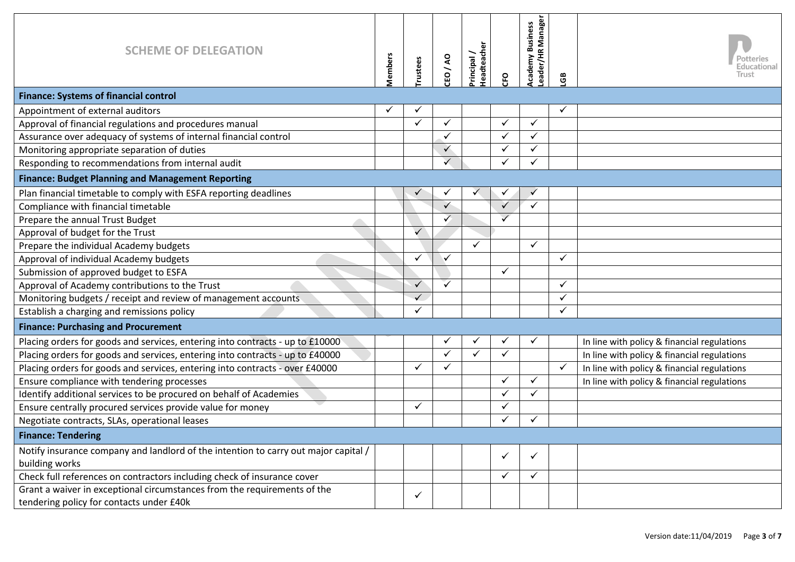| <b>SCHEME OF DELEGATION</b>                                                                                          | Members | rustees      | CEO/AO       | <b>Headteache</b><br>Principal | <b>CFO</b>   | eader/HR Manager<br><b>Academy Business</b> | සී           | Potteries<br>Educational<br>Trust           |
|----------------------------------------------------------------------------------------------------------------------|---------|--------------|--------------|--------------------------------|--------------|---------------------------------------------|--------------|---------------------------------------------|
| <b>Finance: Systems of financial control</b>                                                                         |         |              |              |                                |              |                                             |              |                                             |
| Appointment of external auditors                                                                                     |         |              |              |                                |              |                                             |              |                                             |
| Approval of financial regulations and procedures manual                                                              |         | ✓            | ✓            |                                | $\checkmark$ | $\checkmark$                                |              |                                             |
| Assurance over adequacy of systems of internal financial control                                                     |         |              | $\checkmark$ |                                | ✓            | $\checkmark$                                |              |                                             |
| Monitoring appropriate separation of duties                                                                          |         |              | $\checkmark$ |                                |              | ✓                                           |              |                                             |
| Responding to recommendations from internal audit                                                                    |         |              | $\checkmark$ |                                | ✓            | $\checkmark$                                |              |                                             |
| <b>Finance: Budget Planning and Management Reporting</b>                                                             |         |              |              |                                |              |                                             |              |                                             |
| Plan financial timetable to comply with ESFA reporting deadlines                                                     |         |              |              | $\checkmark$                   |              |                                             |              |                                             |
| Compliance with financial timetable                                                                                  |         |              | $\checkmark$ |                                |              | $\checkmark$                                |              |                                             |
| Prepare the annual Trust Budget                                                                                      |         |              | $\checkmark$ |                                | $\checkmark$ |                                             |              |                                             |
| Approval of budget for the Trust                                                                                     |         | $\checkmark$ |              |                                |              |                                             |              |                                             |
| Prepare the individual Academy budgets                                                                               |         |              |              | $\checkmark$                   |              | $\checkmark$                                |              |                                             |
| Approval of individual Academy budgets                                                                               |         |              | $\checkmark$ |                                |              |                                             | $\checkmark$ |                                             |
| Submission of approved budget to ESFA                                                                                |         |              |              |                                | ✓            |                                             |              |                                             |
| Approval of Academy contributions to the Trust                                                                       |         | ✓            | $\checkmark$ |                                |              |                                             | $\checkmark$ |                                             |
| Monitoring budgets / receipt and review of management accounts                                                       |         | ✓            |              |                                |              |                                             |              |                                             |
| Establish a charging and remissions policy                                                                           |         | ✓            |              |                                |              |                                             | $\checkmark$ |                                             |
| <b>Finance: Purchasing and Procurement</b>                                                                           |         |              |              |                                |              |                                             |              |                                             |
| Placing orders for goods and services, entering into contracts - up to £10000                                        |         |              | $\checkmark$ | $\checkmark$                   |              | $\checkmark$                                |              | In line with policy & financial regulations |
| Placing orders for goods and services, entering into contracts - up to £40000                                        |         |              | ✓            | $\checkmark$                   | ✓            |                                             |              | In line with policy & financial regulations |
| Placing orders for goods and services, entering into contracts - over £40000                                         |         |              | ✓            |                                |              |                                             | $\checkmark$ | In line with policy & financial regulations |
| Ensure compliance with tendering processes                                                                           |         |              |              |                                | ✓            | $\checkmark$                                |              | In line with policy & financial regulations |
| Identify additional services to be procured on behalf of Academies                                                   |         |              |              |                                | ✓            | $\checkmark$                                |              |                                             |
| Ensure centrally procured services provide value for money                                                           |         | ✓            |              |                                |              |                                             |              |                                             |
| Negotiate contracts, SLAs, operational leases                                                                        |         |              |              |                                | ✓            | $\checkmark$                                |              |                                             |
| <b>Finance: Tendering</b>                                                                                            |         |              |              |                                |              |                                             |              |                                             |
| Notify insurance company and landlord of the intention to carry out major capital /<br>building works                |         |              |              |                                | ✓            | ✓                                           |              |                                             |
| Check full references on contractors including check of insurance cover                                              |         |              |              |                                | ✓            | $\checkmark$                                |              |                                             |
| Grant a waiver in exceptional circumstances from the requirements of the<br>tendering policy for contacts under £40k |         | ✓            |              |                                |              |                                             |              |                                             |
|                                                                                                                      |         |              |              |                                |              |                                             |              |                                             |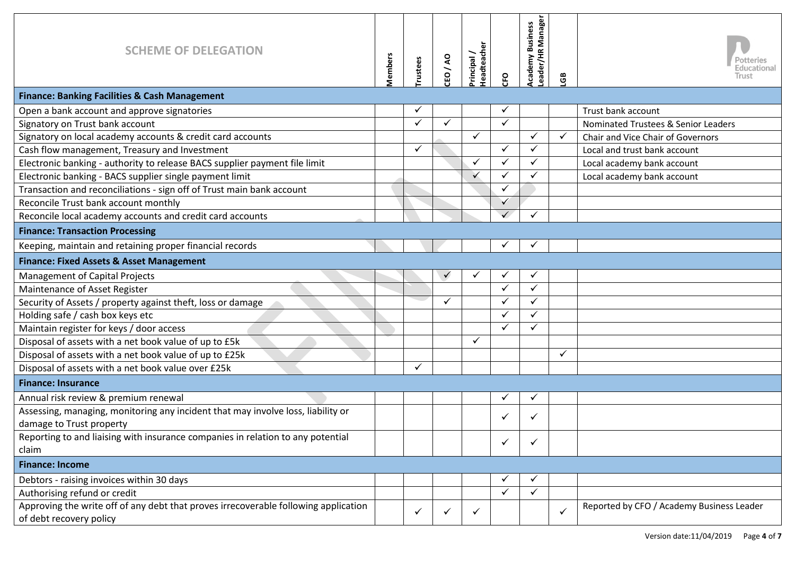| <b>SCHEME OF DELEGATION</b>                                                                                    | <b>Aembers</b> | rustees | $\overline{A}$<br>CEO | <b>leadteacher</b><br>Principal | 유            | kcademy Business<br>eader/HR Manager | සී           | Potteries<br>ducational:<br>Trust         |
|----------------------------------------------------------------------------------------------------------------|----------------|---------|-----------------------|---------------------------------|--------------|--------------------------------------|--------------|-------------------------------------------|
| <b>Finance: Banking Facilities &amp; Cash Management</b>                                                       |                |         |                       |                                 |              |                                      |              |                                           |
| Open a bank account and approve signatories                                                                    |                | ✓       |                       |                                 | ✓            |                                      |              | Trust bank account                        |
| Signatory on Trust bank account                                                                                |                | ✓       | $\checkmark$          |                                 | ✓            |                                      |              | Nominated Trustees & Senior Leaders       |
| Signatory on local academy accounts & credit card accounts                                                     |                |         |                       | $\checkmark$                    |              | ✓                                    | $\checkmark$ | Chair and Vice Chair of Governors         |
| Cash flow management, Treasury and Investment                                                                  |                | ✓       |                       |                                 | ✓            | ✓                                    |              | Local and trust bank account              |
| Electronic banking - authority to release BACS supplier payment file limit                                     |                |         |                       | $\checkmark$                    | ✓            |                                      |              | Local academy bank account                |
| Electronic banking - BACS supplier single payment limit                                                        |                |         |                       |                                 | ✓            |                                      |              | Local academy bank account                |
| Transaction and reconciliations - sign off of Trust main bank account                                          |                |         |                       |                                 | ✓            |                                      |              |                                           |
| Reconcile Trust bank account monthly                                                                           |                |         |                       |                                 | $\checkmark$ |                                      |              |                                           |
| Reconcile local academy accounts and credit card accounts                                                      |                |         |                       |                                 | $\checkmark$ | ✓                                    |              |                                           |
| <b>Finance: Transaction Processing</b>                                                                         |                |         |                       |                                 |              |                                      |              |                                           |
| Keeping, maintain and retaining proper financial records                                                       |                |         |                       |                                 |              | ✓                                    |              |                                           |
| Finance: Fixed Assets & Asset Management                                                                       |                |         |                       |                                 |              |                                      |              |                                           |
| <b>Management of Capital Projects</b>                                                                          |                |         |                       |                                 |              |                                      |              |                                           |
| Maintenance of Asset Register                                                                                  |                |         |                       |                                 | $\checkmark$ | $\checkmark$                         |              |                                           |
| Security of Assets / property against theft, loss or damage                                                    |                |         | ✓                     |                                 | ✓            | ✓                                    |              |                                           |
| Holding safe / cash box keys etc                                                                               |                |         |                       |                                 | ✓            |                                      |              |                                           |
| Maintain register for keys / door access                                                                       |                |         |                       |                                 | ✓            |                                      |              |                                           |
| Disposal of assets with a net book value of up to £5k                                                          |                |         |                       | $\checkmark$                    |              |                                      |              |                                           |
| Disposal of assets with a net book value of up to £25k                                                         |                |         |                       |                                 |              |                                      | ✓            |                                           |
| Disposal of assets with a net book value over £25k                                                             |                | ✓       |                       |                                 |              |                                      |              |                                           |
| <b>Finance: Insurance</b>                                                                                      |                |         |                       |                                 |              |                                      |              |                                           |
| Annual risk review & premium renewal                                                                           |                |         |                       |                                 | ✓            | ✓                                    |              |                                           |
| Assessing, managing, monitoring any incident that may involve loss, liability or                               |                |         |                       |                                 |              |                                      |              |                                           |
| damage to Trust property                                                                                       |                |         |                       |                                 | ✓            |                                      |              |                                           |
| Reporting to and liaising with insurance companies in relation to any potential                                |                |         |                       |                                 | ✓            |                                      |              |                                           |
| claim                                                                                                          |                |         |                       |                                 |              |                                      |              |                                           |
| <b>Finance: Income</b>                                                                                         |                |         |                       |                                 |              |                                      |              |                                           |
| Debtors - raising invoices within 30 days                                                                      |                |         |                       |                                 |              |                                      |              |                                           |
| Authorising refund or credit                                                                                   |                |         |                       |                                 | $\checkmark$ | $\checkmark$                         |              |                                           |
| Approving the write off of any debt that proves irrecoverable following application<br>of debt recovery policy |                | ✓       | ✓                     | ✓                               |              |                                      | $\checkmark$ | Reported by CFO / Academy Business Leader |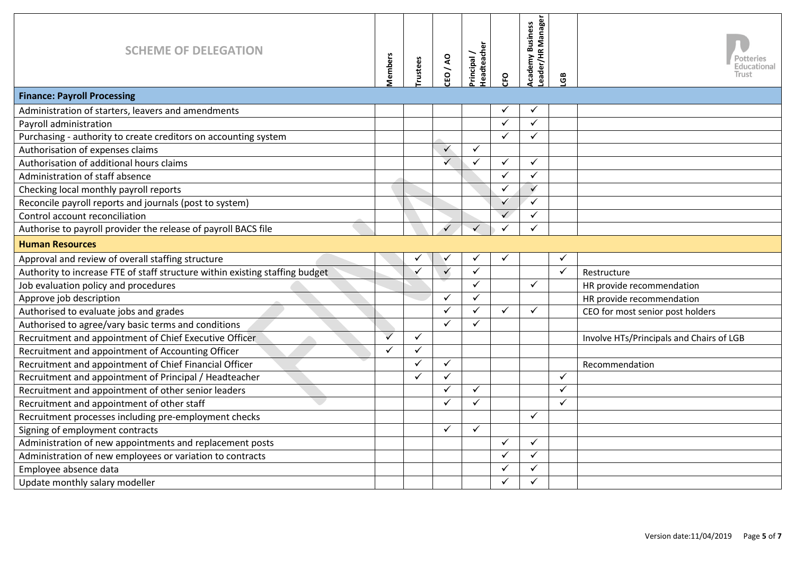| <b>SCHEME OF DELEGATION</b>                                                  | <b>Members</b> | rustees      | $\overline{A}$<br>$\mathbf{S}$ | leadteache<br>rincipal | œ            | eader/HR Manager<br><b>Academy Business</b> | සී           | ducational<br>lrust                      |
|------------------------------------------------------------------------------|----------------|--------------|--------------------------------|------------------------|--------------|---------------------------------------------|--------------|------------------------------------------|
| <b>Finance: Payroll Processing</b>                                           |                |              |                                |                        |              |                                             |              |                                          |
| Administration of starters, leavers and amendments                           |                |              |                                |                        |              |                                             |              |                                          |
| Payroll administration                                                       |                |              |                                |                        | $\checkmark$ | ✓                                           |              |                                          |
| Purchasing - authority to create creditors on accounting system              |                |              |                                |                        | $\checkmark$ | ✓                                           |              |                                          |
| Authorisation of expenses claims                                             |                |              | $\checkmark$                   | $\checkmark$           |              |                                             |              |                                          |
| Authorisation of additional hours claims                                     |                |              | $\checkmark$                   | ✓                      | $\checkmark$ | $\checkmark$                                |              |                                          |
| Administration of staff absence                                              |                |              |                                |                        | $\checkmark$ | $\checkmark$                                |              |                                          |
| Checking local monthly payroll reports                                       |                |              |                                |                        | $\checkmark$ | $\checkmark$                                |              |                                          |
| Reconcile payroll reports and journals (post to system)                      |                |              |                                |                        | $\checkmark$ | $\checkmark$                                |              |                                          |
| Control account reconciliation                                               |                |              |                                |                        | $\checkmark$ | ✓                                           |              |                                          |
| Authorise to payroll provider the release of payroll BACS file               |                |              | $\checkmark$                   | $\checkmark$           |              |                                             |              |                                          |
| <b>Human Resources</b>                                                       |                |              |                                |                        |              |                                             |              |                                          |
| Approval and review of overall staffing structure                            |                |              | $\checkmark$                   | ✓                      | ✓            |                                             | $\checkmark$ |                                          |
| Authority to increase FTE of staff structure within existing staffing budget |                |              | $\checkmark$                   | $\checkmark$           |              |                                             | $\checkmark$ | Restructure                              |
| Job evaluation policy and procedures                                         |                |              |                                | ✓                      |              | $\checkmark$                                |              | HR provide recommendation                |
| Approve job description                                                      |                |              | $\checkmark$                   | $\checkmark$           |              |                                             |              | HR provide recommendation                |
| Authorised to evaluate jobs and grades                                       |                |              | $\checkmark$                   | $\checkmark$           | $\checkmark$ | ✓                                           |              | CEO for most senior post holders         |
| Authorised to agree/vary basic terms and conditions                          |                |              | $\checkmark$                   | ✓                      |              |                                             |              |                                          |
| Recruitment and appointment of Chief Executive Officer                       | $\checkmark$   | $\checkmark$ |                                |                        |              |                                             |              | Involve HTs/Principals and Chairs of LGB |
| Recruitment and appointment of Accounting Officer                            | $\checkmark$   | $\checkmark$ |                                |                        |              |                                             |              |                                          |
| Recruitment and appointment of Chief Financial Officer                       |                | $\checkmark$ | $\checkmark$                   |                        |              |                                             |              | Recommendation                           |
| Recruitment and appointment of Principal / Headteacher                       |                |              | $\checkmark$                   |                        |              |                                             | $\checkmark$ |                                          |
| Recruitment and appointment of other senior leaders                          |                |              | $\checkmark$                   | $\checkmark$           |              |                                             | $\checkmark$ |                                          |
| Recruitment and appointment of other staff                                   |                |              | ✓                              | ✓                      |              |                                             | ✓            |                                          |
| Recruitment processes including pre-employment checks                        |                |              |                                |                        |              | ✓                                           |              |                                          |
| Signing of employment contracts                                              |                |              | ✓                              | ✓                      |              |                                             |              |                                          |
| Administration of new appointments and replacement posts                     |                |              |                                |                        | ✓            |                                             |              |                                          |
| Administration of new employees or variation to contracts                    |                |              |                                |                        | $\checkmark$ | ✓                                           |              |                                          |
| Employee absence data                                                        |                |              |                                |                        | ✓            |                                             |              |                                          |
| Update monthly salary modeller                                               |                |              |                                |                        | ✓            |                                             |              |                                          |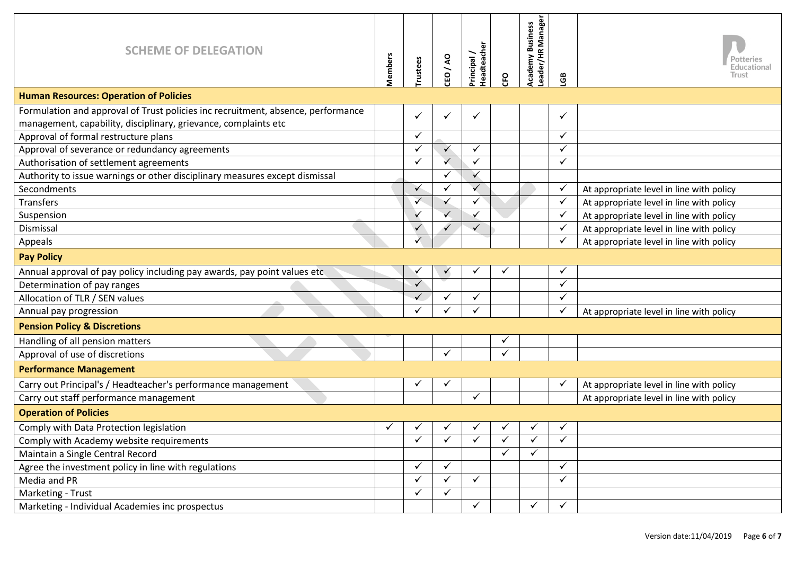| <b>SCHEME OF DELEGATION</b>                                                      | <b>Members</b> | rustees      | CEO/AO       | <b>deadteacher</b><br>Principal | εR           | eader/HR Manager<br>cademy Business | මී           | Potteries<br>Educational<br>Trust        |
|----------------------------------------------------------------------------------|----------------|--------------|--------------|---------------------------------|--------------|-------------------------------------|--------------|------------------------------------------|
| <b>Human Resources: Operation of Policies</b>                                    |                |              |              |                                 |              |                                     |              |                                          |
| Formulation and approval of Trust policies inc recruitment, absence, performance |                | ✓            | $\checkmark$ | $\checkmark$                    |              |                                     | ✓            |                                          |
| management, capability, disciplinary, grievance, complaints etc                  |                |              |              |                                 |              |                                     |              |                                          |
| Approval of formal restructure plans                                             |                | ✓            |              |                                 |              |                                     | ✓            |                                          |
| Approval of severance or redundancy agreements                                   |                | ✓            | $\checkmark$ | $\checkmark$                    |              |                                     | ✓            |                                          |
| Authorisation of settlement agreements                                           |                | ✓            | $\checkmark$ | ✓                               |              |                                     | ✓            |                                          |
| Authority to issue warnings or other disciplinary measures except dismissal      |                |              | ✓            | $\checkmark$                    |              |                                     |              |                                          |
| Secondments                                                                      |                | ✓            | $\checkmark$ | $\checkmark$                    |              |                                     | $\checkmark$ | At appropriate level in line with policy |
| <b>Transfers</b>                                                                 |                | $\checkmark$ | $\checkmark$ | ✓                               |              |                                     | $\checkmark$ | At appropriate level in line with policy |
| Suspension                                                                       |                |              | $\checkmark$ |                                 |              |                                     | $\checkmark$ | At appropriate level in line with policy |
| Dismissal                                                                        |                |              | $\checkmark$ | $\checkmark$                    |              |                                     | $\checkmark$ | At appropriate level in line with policy |
| Appeals                                                                          |                | ✓            |              |                                 |              |                                     | $\checkmark$ | At appropriate level in line with policy |
| <b>Pay Policy</b>                                                                |                |              |              |                                 |              |                                     |              |                                          |
| Annual approval of pay policy including pay awards, pay point values etc         |                |              | $\checkmark$ | $\checkmark$                    |              |                                     | $\checkmark$ |                                          |
| Determination of pay ranges                                                      |                | ✓            |              |                                 |              |                                     | ✓            |                                          |
| Allocation of TLR / SEN values                                                   |                |              | $\checkmark$ | $\checkmark$                    |              |                                     | ✓            |                                          |
| Annual pay progression                                                           |                |              | $\checkmark$ | ✓                               |              |                                     | $\checkmark$ | At appropriate level in line with policy |
| <b>Pension Policy &amp; Discretions</b>                                          |                |              |              |                                 |              |                                     |              |                                          |
| Handling of all pension matters                                                  |                |              |              |                                 | ✓            |                                     |              |                                          |
| Approval of use of discretions                                                   |                |              | $\checkmark$ |                                 | ✓            |                                     |              |                                          |
| <b>Performance Management</b>                                                    |                |              |              |                                 |              |                                     |              |                                          |
| Carry out Principal's / Headteacher's performance management                     |                | ✓            | $\checkmark$ |                                 |              |                                     | $\checkmark$ | At appropriate level in line with policy |
| Carry out staff performance management                                           |                |              |              | ✓                               |              |                                     |              | At appropriate level in line with policy |
| <b>Operation of Policies</b>                                                     |                |              |              |                                 |              |                                     |              |                                          |
| Comply with Data Protection legislation                                          | ✓              |              |              |                                 |              |                                     |              |                                          |
| Comply with Academy website requirements                                         |                | ✓            | $\checkmark$ | $\checkmark$                    | ✓            | ✓                                   | $\checkmark$ |                                          |
| Maintain a Single Central Record                                                 |                |              |              |                                 | $\checkmark$ | ✓                                   |              |                                          |
| Agree the investment policy in line with regulations                             |                | ✓            | $\checkmark$ |                                 |              |                                     | ✓            |                                          |
| Media and PR                                                                     |                | ✓            | $\checkmark$ | $\checkmark$                    |              |                                     | $\checkmark$ |                                          |
| Marketing - Trust                                                                |                | ✓            | $\checkmark$ |                                 |              |                                     |              |                                          |
| Marketing - Individual Academies inc prospectus                                  |                |              |              | $\checkmark$                    |              | ✓                                   | $\checkmark$ |                                          |